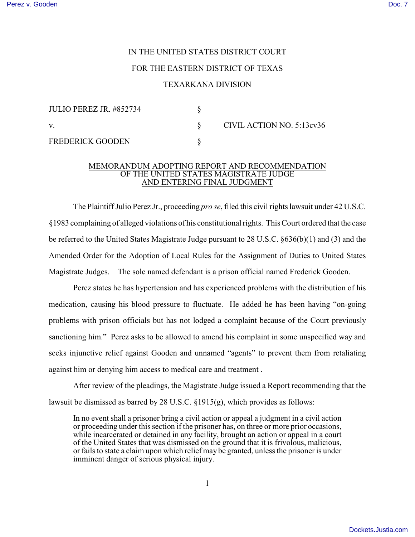# IN THE UNITED STATES DISTRICT COURT

## FOR THE EASTERN DISTRICT OF TEXAS

## TEXARKANA DIVISION

| JULIO PEREZ JR. #852734 |                           |
|-------------------------|---------------------------|
|                         | CIVIL ACTION NO. 5:13cv36 |
| <b>FREDERICK GOODEN</b> |                           |

#### MEMORANDUM ADOPTING REPORT AND RECOMMENDATION OF THE UNITED STATES MAGISTRATE JUDGE AND ENTERING FINAL JUDGMENT

The Plaintiff Julio Perez Jr., proceeding *pro se*, filed this civil rights lawsuit under 42 U.S.C. §1983 complaining of alleged violations of his constitutional rights. This Court ordered that the case be referred to the United States Magistrate Judge pursuant to 28 U.S.C. §636(b)(1) and (3) and the Amended Order for the Adoption of Local Rules for the Assignment of Duties to United States Magistrate Judges. The sole named defendant is a prison official named Frederick Gooden.

Perez states he has hypertension and has experienced problems with the distribution of his medication, causing his blood pressure to fluctuate. He added he has been having "on-going problems with prison officials but has not lodged a complaint because of the Court previously sanctioning him." Perez asks to be allowed to amend his complaint in some unspecified way and seeks injunctive relief against Gooden and unnamed "agents" to prevent them from retaliating against him or denying him access to medical care and treatment .

After review of the pleadings, the Magistrate Judge issued a Report recommending that the lawsuit be dismissed as barred by 28 U.S.C. §1915(g), which provides as follows:

In no event shall a prisoner bring a civil action or appeal a judgment in a civil action or proceeding under this section if the prisoner has, on three or more prior occasions, while incarcerated or detained in any facility, brought an action or appeal in a court of the United States that was dismissed on the ground that it is frivolous, malicious, or fails to state a claim upon which relief may be granted, unless the prisoner is under imminent danger of serious physical injury.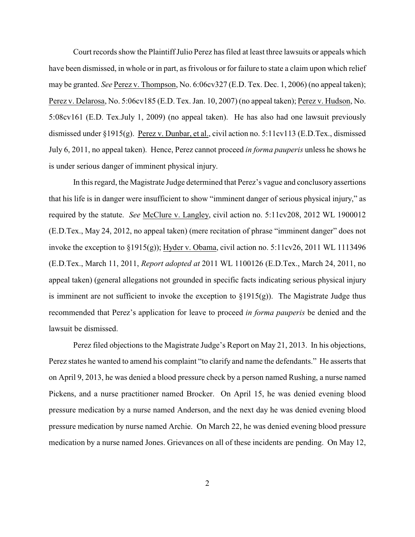Court records show the Plaintiff Julio Perez has filed at least three lawsuits or appeals which have been dismissed, in whole or in part, as frivolous or for failure to state a claim upon which relief may be granted. *See* Perez v. Thompson, No. 6:06cv327 (E.D. Tex. Dec. 1, 2006) (no appeal taken); Perez v. Delarosa, No. 5:06cv185 (E.D. Tex. Jan. 10, 2007) (no appeal taken); Perez v. Hudson, No. 5:08cv161 (E.D. Tex.July 1, 2009) (no appeal taken). He has also had one lawsuit previously dismissed under §1915(g). Perez v. Dunbar, et al., civil action no. 5:11cv113 (E.D.Tex., dismissed July 6, 2011, no appeal taken). Hence, Perez cannot proceed *in forma pauperis* unless he shows he is under serious danger of imminent physical injury.

In this regard, the Magistrate Judge determined that Perez's vague and conclusory assertions that his life is in danger were insufficient to show "imminent danger of serious physical injury," as required by the statute. *See* McClure v. Langley, civil action no. 5:11cv208, 2012 WL 1900012 (E.D.Tex., May 24, 2012, no appeal taken) (mere recitation of phrase "imminent danger" does not invoke the exception to §1915(g)); Hyder v. Obama, civil action no. 5:11cv26, 2011 WL 1113496 (E.D.Tex., March 11, 2011, *Report adopted at* 2011 WL 1100126 (E.D.Tex., March 24, 2011, no appeal taken) (general allegations not grounded in specific facts indicating serious physical injury is imminent are not sufficient to invoke the exception to  $\S 1915(g)$ ). The Magistrate Judge thus recommended that Perez's application for leave to proceed *in forma pauperis* be denied and the lawsuit be dismissed.

Perez filed objections to the Magistrate Judge's Report on May 21, 2013. In his objections, Perez states he wanted to amend his complaint "to clarify and name the defendants." He asserts that on April 9, 2013, he was denied a blood pressure check by a person named Rushing, a nurse named Pickens, and a nurse practitioner named Brocker. On April 15, he was denied evening blood pressure medication by a nurse named Anderson, and the next day he was denied evening blood pressure medication by nurse named Archie. On March 22, he was denied evening blood pressure medication by a nurse named Jones. Grievances on all of these incidents are pending. On May 12,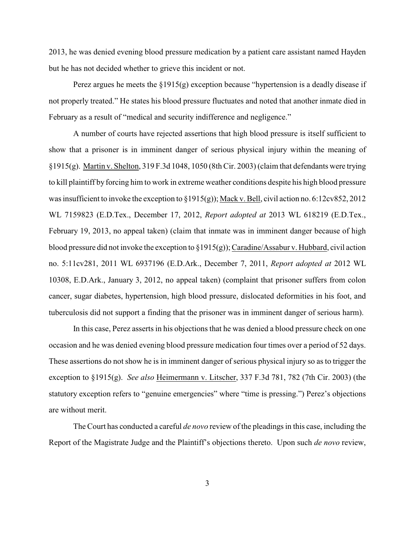2013, he was denied evening blood pressure medication by a patient care assistant named Hayden but he has not decided whether to grieve this incident or not.

Perez argues he meets the §1915(g) exception because "hypertension is a deadly disease if not properly treated." He states his blood pressure fluctuates and noted that another inmate died in February as a result of "medical and security indifference and negligence."

A number of courts have rejected assertions that high blood pressure is itself sufficient to show that a prisoner is in imminent danger of serious physical injury within the meaning of §1915(g). Martin v. Shelton, 319 F.3d 1048, 1050 (8th Cir. 2003) (claim that defendants were trying to kill plaintiff by forcing him to work in extreme weather conditions despite his high blood pressure was insufficient to invoke the exception to  $\S 1915(g)$ ; Mack v. Bell, civil action no. 6:12cv852, 2012 WL 7159823 (E.D.Tex., December 17, 2012, *Report adopted at* 2013 WL 618219 (E.D.Tex., February 19, 2013, no appeal taken) (claim that inmate was in imminent danger because of high blood pressure did not invoke the exception to §1915(g)); Caradine/Assabur v. Hubbard, civil action no. 5:11cv281, 2011 WL 6937196 (E.D.Ark., December 7, 2011, *Report adopted at* 2012 WL 10308, E.D.Ark., January 3, 2012, no appeal taken) (complaint that prisoner suffers from colon cancer, sugar diabetes, hypertension, high blood pressure, dislocated deformities in his foot, and tuberculosis did not support a finding that the prisoner was in imminent danger of serious harm).

In this case, Perez asserts in his objections that he was denied a blood pressure check on one occasion and he was denied evening blood pressure medication four times over a period of 52 days. These assertions do not show he is in imminent danger of serious physical injury so as to trigger the exception to §1915(g). *See also* Heimermann v. Litscher, 337 F.3d 781, 782 (7th Cir. 2003) (the statutory exception refers to "genuine emergencies" where "time is pressing.") Perez's objections are without merit.

The Court has conducted a careful *de novo* review of the pleadings in this case, including the Report of the Magistrate Judge and the Plaintiff's objections thereto. Upon such *de novo* review,